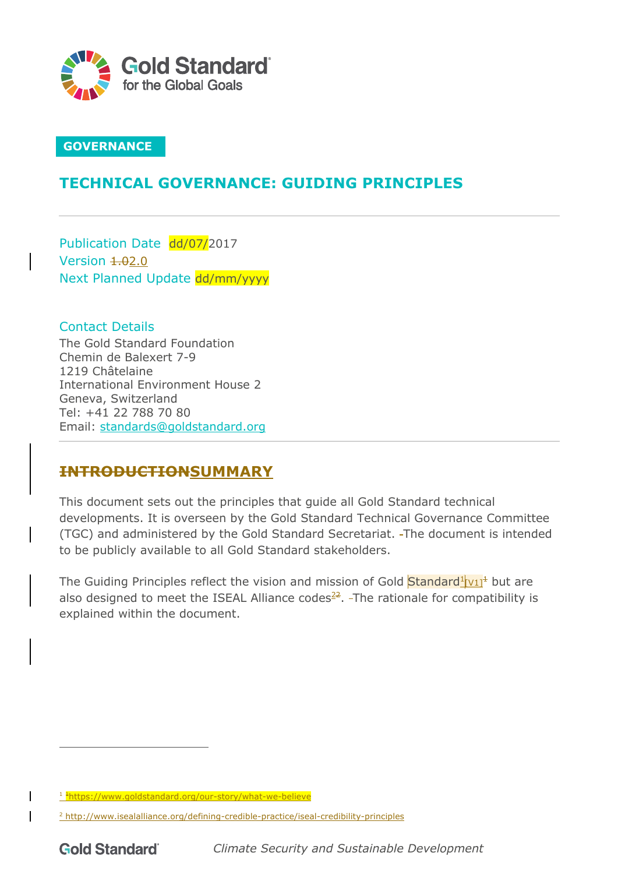

# **GOVERNANCE**

# **TECHNICAL GOVERNANCE: GUIDING PRINCIPLES**

Publication Date dd/07/2017 Version  $4.02.0$ Next Planned Update dd/mm/yyyy

Contact Details The Gold Standard Foundation Chemin de Balexert 7-9 1219 Châtelaine International Environment House 2 Geneva, Switzerland Tel: +41 22 788 70 80 Email: standards@goldstandard.org

# **INTRODUCTIONSUMMARY**

This document sets out the principles that guide all Gold Standard technical developments. It is overseen by the Gold Standard Technical Governance Committee (TGC) and administered by the Gold Standard Secretariat. The document is intended to be publicly available to all Gold Standard stakeholders.

The Guiding Principles reflect the vision and mission of Gold  $Standard<sup>1</sup><sub>V11</sub><sup>+</sup>$  but are also designed to meet the ISEAL Alliance codes $22$ . The rationale for compatibility is explained within the document.

<sup>&</sup>lt;sup>1</sup> <sup>+</sup>https://www.goldstandard.org/our-story/what-we-believe

<sup>&</sup>lt;sup>2</sup> http://www.isealalliance.org/defining-credible-practice/iseal-credibility-principles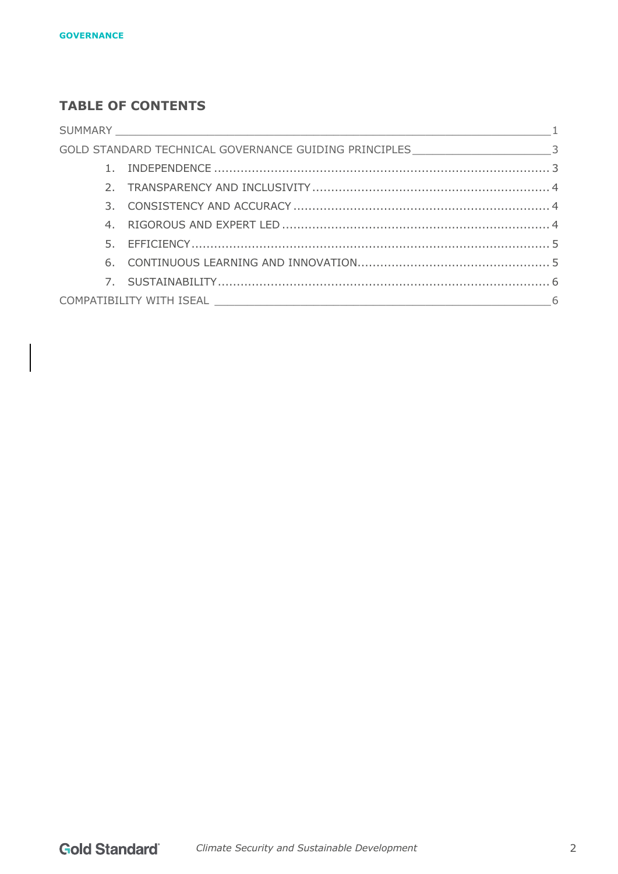# **TABLE OF CONTENTS**

|  | GOLD STANDARD TECHNICAL GOVERNANCE GUIDING PRINCIPLES ___________________________3 |  |
|--|------------------------------------------------------------------------------------|--|
|  |                                                                                    |  |
|  |                                                                                    |  |
|  |                                                                                    |  |
|  |                                                                                    |  |
|  |                                                                                    |  |
|  |                                                                                    |  |
|  |                                                                                    |  |
|  |                                                                                    |  |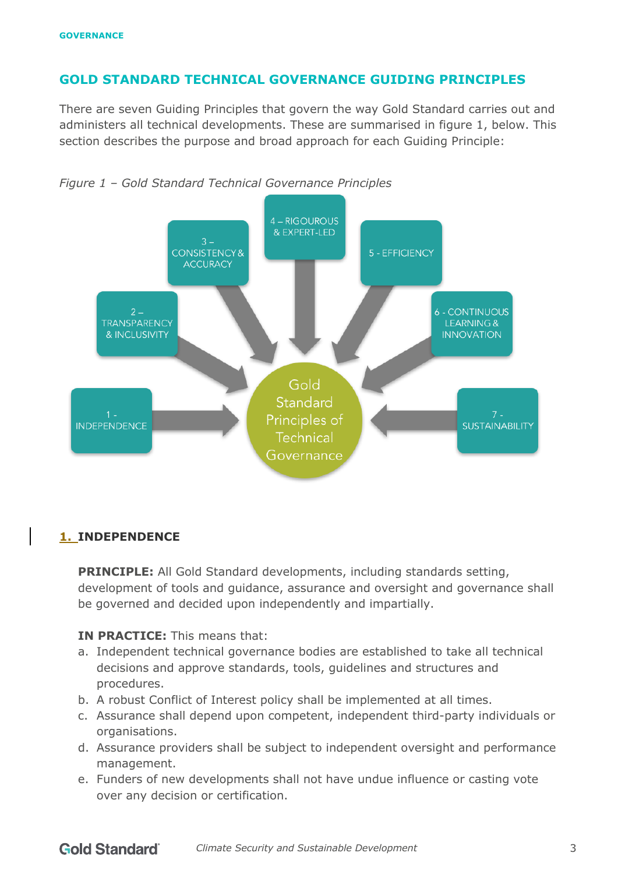# **GOLD STANDARD TECHNICAL GOVERNANCE GUIDING PRINCIPLES**

There are seven Guiding Principles that govern the way Gold Standard carries out and administers all technical developments. These are summarised in figure 1, below. This section describes the purpose and broad approach for each Guiding Principle:





# **1. INDEPENDENCE**

**PRINCIPLE:** All Gold Standard developments, including standards setting, development of tools and guidance, assurance and oversight and governance shall be governed and decided upon independently and impartially.

### **IN PRACTICE:** This means that:

- a. Independent technical governance bodies are established to take all technical decisions and approve standards, tools, guidelines and structures and procedures.
- b. A robust Conflict of Interest policy shall be implemented at all times.
- c. Assurance shall depend upon competent, independent third-party individuals or organisations.
- d. Assurance providers shall be subject to independent oversight and performance management.
- e. Funders of new developments shall not have undue influence or casting vote over any decision or certification.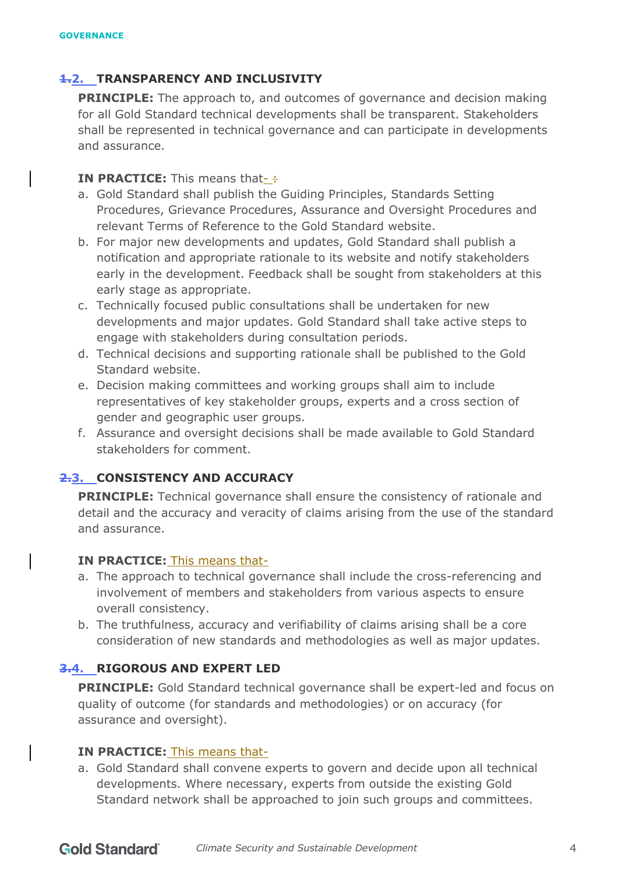## **1.2. TRANSPARENCY AND INCLUSIVITY**

**PRINCIPLE:** The approach to, and outcomes of governance and decision making for all Gold Standard technical developments shall be transparent. Stakeholders shall be represented in technical governance and can participate in developments and assurance.

#### **IN PRACTICE:** This means that- :

- a. Gold Standard shall publish the Guiding Principles, Standards Setting Procedures, Grievance Procedures, Assurance and Oversight Procedures and relevant Terms of Reference to the Gold Standard website.
- b. For major new developments and updates, Gold Standard shall publish a notification and appropriate rationale to its website and notify stakeholders early in the development. Feedback shall be sought from stakeholders at this early stage as appropriate.
- c. Technically focused public consultations shall be undertaken for new developments and major updates. Gold Standard shall take active steps to engage with stakeholders during consultation periods.
- d. Technical decisions and supporting rationale shall be published to the Gold Standard website.
- e. Decision making committees and working groups shall aim to include representatives of key stakeholder groups, experts and a cross section of gender and geographic user groups.
- f. Assurance and oversight decisions shall be made available to Gold Standard stakeholders for comment.

# **2.3. CONSISTENCY AND ACCURACY**

**PRINCIPLE:** Technical governance shall ensure the consistency of rationale and detail and the accuracy and veracity of claims arising from the use of the standard and assurance.

#### **IN PRACTICE:** This means that-

- a. The approach to technical governance shall include the cross-referencing and involvement of members and stakeholders from various aspects to ensure overall consistency.
- b. The truthfulness, accuracy and verifiability of claims arising shall be a core consideration of new standards and methodologies as well as major updates.

# **3.4. RIGOROUS AND EXPERT LED**

**PRINCIPLE:** Gold Standard technical governance shall be expert-led and focus on quality of outcome (for standards and methodologies) or on accuracy (for assurance and oversight).

#### **IN PRACTICE:** This means that-

a. Gold Standard shall convene experts to govern and decide upon all technical developments. Where necessary, experts from outside the existing Gold Standard network shall be approached to join such groups and committees.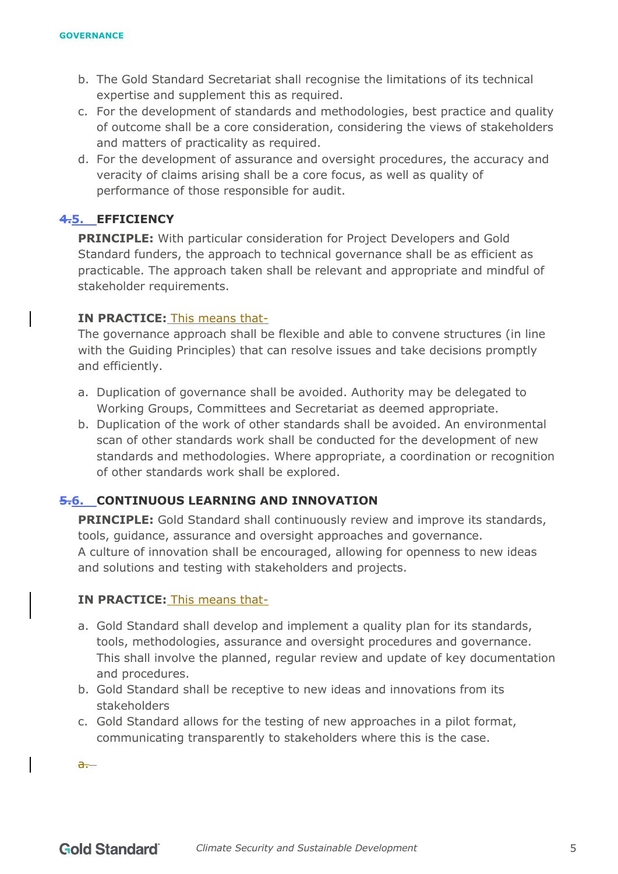- b. The Gold Standard Secretariat shall recognise the limitations of its technical expertise and supplement this as required.
- c. For the development of standards and methodologies, best practice and quality of outcome shall be a core consideration, considering the views of stakeholders and matters of practicality as required.
- d. For the development of assurance and oversight procedures, the accuracy and veracity of claims arising shall be a core focus, as well as quality of performance of those responsible for audit.

# **4.5. EFFICIENCY**

**PRINCIPLE:** With particular consideration for Project Developers and Gold Standard funders, the approach to technical governance shall be as efficient as practicable. The approach taken shall be relevant and appropriate and mindful of stakeholder requirements.

# **IN PRACTICE:** This means that-

The governance approach shall be flexible and able to convene structures (in line with the Guiding Principles) that can resolve issues and take decisions promptly and efficiently.

- a. Duplication of governance shall be avoided. Authority may be delegated to Working Groups, Committees and Secretariat as deemed appropriate.
- b. Duplication of the work of other standards shall be avoided. An environmental scan of other standards work shall be conducted for the development of new standards and methodologies. Where appropriate, a coordination or recognition of other standards work shall be explored.

# **5.6. CONTINUOUS LEARNING AND INNOVATION**

**PRINCIPLE:** Gold Standard shall continuously review and improve its standards, tools, guidance, assurance and oversight approaches and governance. A culture of innovation shall be encouraged, allowing for openness to new ideas and solutions and testing with stakeholders and projects.

#### **IN PRACTICE:** This means that-

- a. Gold Standard shall develop and implement a quality plan for its standards, tools, methodologies, assurance and oversight procedures and governance. This shall involve the planned, regular review and update of key documentation and procedures.
- b. Gold Standard shall be receptive to new ideas and innovations from its stakeholders
- c. Gold Standard allows for the testing of new approaches in a pilot format, communicating transparently to stakeholders where this is the case.

 $a -$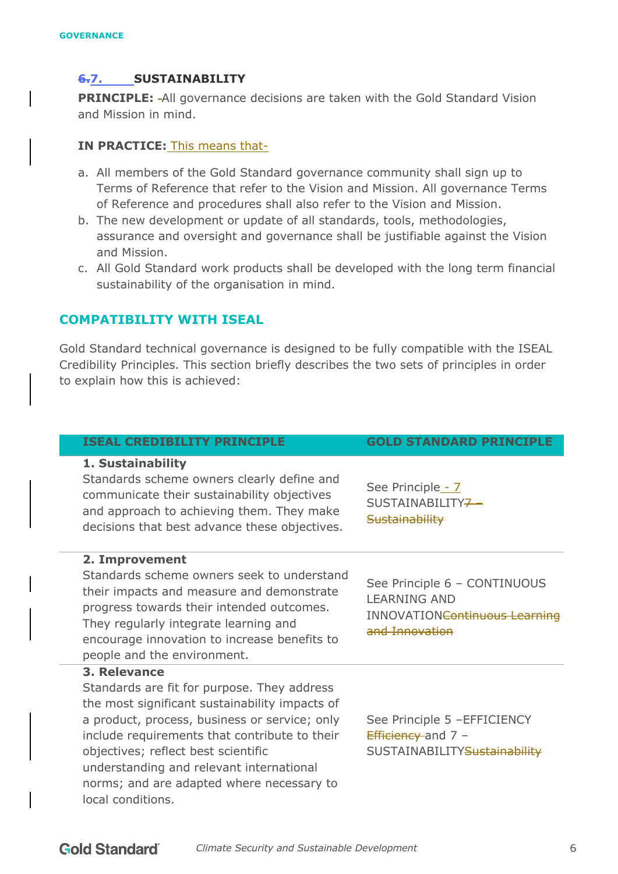# **6.7. SUSTAINABILITY**

**PRINCIPLE:** All governance decisions are taken with the Gold Standard Vision and Mission in mind.

### **IN PRACTICE:** This means that-

- a. All members of the Gold Standard governance community shall sign up to Terms of Reference that refer to the Vision and Mission. All governance Terms of Reference and procedures shall also refer to the Vision and Mission.
- b. The new development or update of all standards, tools, methodologies, assurance and oversight and governance shall be justifiable against the Vision and Mission.
- c. All Gold Standard work products shall be developed with the long term financial sustainability of the organisation in mind.

## **COMPATIBILITY WITH ISEAL**

Gold Standard technical governance is designed to be fully compatible with the ISEAL Credibility Principles. This section briefly describes the two sets of principles in order to explain how this is achieved:

#### **ISEAL CREDIBILITY PRINCIPLE GOLD STANDARD PRINCIPLE**

#### **1. Sustainability**

Standards scheme owners clearly define and

#### **2. Improvement**

Standards scheme owners seek to understand their impacts and measure and demonstrate progress towards their intended outcomes. They regularly integrate learning and encourage innovation to increase benefits to people and the environment.

#### **3. Relevance**

Standards are fit for purpose. They address the most significant sustainability impacts of a product, process, business or service; only include requirements that contribute to their objectives; reflect best scientific understanding and relevant international norms; and are adapted where necessary to local conditions.

INNOVATIONContinuous Learning and Innovation

See Principle 6 – CONTINUOUS

See Principle 5 –EFFICIENCY Efficiency and 7 -SUSTAINABILITYSustainability

See Principle - 7 SUSTAINABILITY<del>7</del> **Sustainability** 

LEARNING AND

communicate their sustainability objectives and approach to achieving them. They make decisions that best advance these objectives.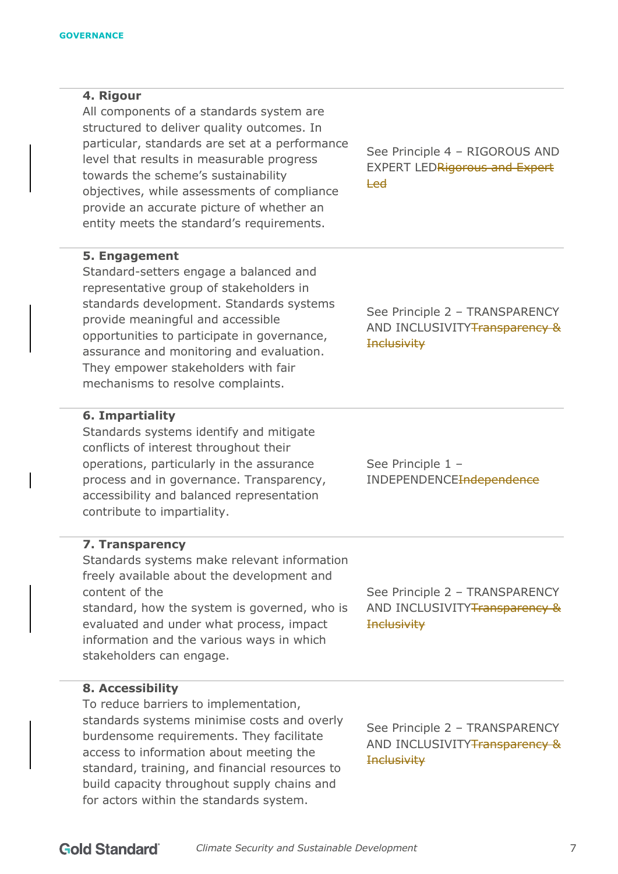#### **4. Rigour**

All components of a standards system are structured to deliver quality outcomes. In particular, standards are set at a performance level that results in measurable progress towards the scheme's sustainability objectives, while assessments of compliance provide an accurate picture of whether an entity meets the standard's requirements.

See Principle 4 – RIGOROUS AND EXPERT LEDRigorous and Expert Led

See Principle 2 – TRANSPARENCY AND INCLUSIVITY Transparency &

**Inclusivity** 

**Inclusivity** 

**Inclusivity** 

### **5. Engagement**

Standard-setters engage a balanced and representative group of stakeholders in standards development. Standards systems provide meaningful and accessible opportunities to participate in governance, assurance and monitoring and evaluation. They empower stakeholders with fair mechanisms to resolve complaints.

#### **6. Impartiality**

Standards systems identify and mitigate conflicts of interest throughout their operations, particularly in the assurance process and in governance. Transparency, accessibility and balanced representation contribute to impartiality.

**7. Transparency**

Standards systems make relevant information freely available about the development and content of the standard, how the system is governed, who is evaluated and under what process, impact information and the various ways in which stakeholders can engage.

**8. Accessibility**

To reduce barriers to implementation, standards systems minimise costs and overly burdensome requirements. They facilitate access to information about meeting the standard, training, and financial resources to build capacity throughout supply chains and for actors within the standards system.

See Principle 2 – TRANSPARENCY AND INCLUSIVITY Transparency &

See Principle 2 – TRANSPARENCY AND INCLUSIVITYTransparency &

See Principle 1 – INDEPENDENCEIndependence

**Gold Standard** *Climate Security and Sustainable Development* 7